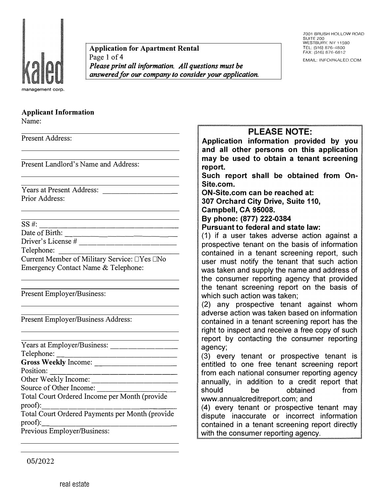

**Application for Apartment Rental**  Page 1 of 4 *Please print all information. All questions must be answered for our company to consider your application.* 

7001 BRUSH HOLLOW ROAD SUITE 200 WESTBURY. NY 11590 TEL: (516) 876-4800 FAX: (516) 876-6812

EMAIL: INFO@KALED.COM

|  | <b>Applicant Information</b> |
|--|------------------------------|
|  |                              |

Name:

Present Address:

Present Landlord's Name and Address:

Years at Present Address: Prior Address:

 $\text{SS } #:$ 

Date of Birth: \_\_\_\_\_\_\_\_\_\_\_\_ \_

Driver's License# \_\_\_\_\_\_\_\_\_\_ \_

Telephone: \_\_\_\_\_\_\_\_\_\_\_\_\_ \_

Current Member of Military Service: □Yes □No Emergency Contact Name & Telephone:

Present Employer/Business:

Present Employer/Business Address:

| Years at Employer/Business: |  |
|-----------------------------|--|

Telephone:

**Gross Weekly** Income: \_\_\_\_\_\_\_\_\_ \_

Position:

0th er Weekly Income: \_\_\_\_\_\_\_\_\_ \_

Source of Other Income:

Total Court Ordered Income per Month (provide proof) : \_\_\_\_\_\_\_\_\_\_\_ ---:--

Total Court Ordered Payments per Month (provide proof):\_\_\_\_\_\_\_\_\_\_\_\_\_\_\_ \_

Previous Employer/Business:

## **PLEASE NOTE:**

**Application information provided by you and all other persons on this application may be used to obtain a tenant screening report.** 

**Such report shall be obtained from On-Site.com.** 

**ON-Site.com can be reached at:** 

**307 Orchard City Drive, Suite 110,** 

**Campbell, CA 95008.** 

**By phone: (877) 222-0384** 

**Pursuant to federal and state law:** 

( 1) if a user takes adverse action against a prospective tenant on the basis of information contained in a tenant screening report, such user must notify the tenant that such action was taken and supply the name and address of the consumer reporting agency that provided the tenant screening report on the basis of which such action was taken;

(2) any prospective tenant against whom adverse action was taken based on information contained in a tenant screening report has the right to inspect and receive a free copy of such report by contacting the consumer reporting agency;

(3) every tenant or prospective tenant is entitled to one free tenant screening report from each national consumer reporting agency annually, in addition to a credit report that should be obtained www.annualcreditreport.com; and

(4) every tenant or prospective tenant may dispute inaccurate or incorrect information contained in a tenant screening report directly with the consumer reporting agency.

05/2022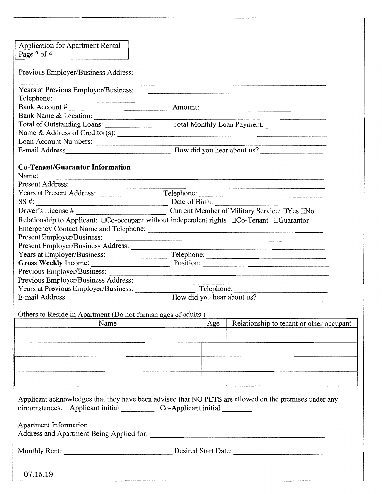| <b>Application for Apartment Rental</b><br>Page 2 of 4                                                                                                                                                                                                    |                                                                                                                                  |                                          |  |  |  |  |
|-----------------------------------------------------------------------------------------------------------------------------------------------------------------------------------------------------------------------------------------------------------|----------------------------------------------------------------------------------------------------------------------------------|------------------------------------------|--|--|--|--|
| Previous Employer/Business Address:                                                                                                                                                                                                                       |                                                                                                                                  |                                          |  |  |  |  |
|                                                                                                                                                                                                                                                           |                                                                                                                                  |                                          |  |  |  |  |
| Telephone:                                                                                                                                                                                                                                                |                                                                                                                                  |                                          |  |  |  |  |
| Bank Account $\#$ $\qquad \qquad$ Amount: $\qquad \qquad$ Amount:                                                                                                                                                                                         |                                                                                                                                  |                                          |  |  |  |  |
| Bank Name & Location:                                                                                                                                                                                                                                     |                                                                                                                                  |                                          |  |  |  |  |
|                                                                                                                                                                                                                                                           | Total of Outstanding Loans: Total Monthly Loan Payment: Note that Contains the Counter of Counter of Total Monthly Loan Payment: |                                          |  |  |  |  |
| Name & Address of Creditor(s):                                                                                                                                                                                                                            |                                                                                                                                  |                                          |  |  |  |  |
| Loan Account Numbers:                                                                                                                                                                                                                                     |                                                                                                                                  |                                          |  |  |  |  |
|                                                                                                                                                                                                                                                           |                                                                                                                                  |                                          |  |  |  |  |
| <b>Co-Tenant/Guarantor Information</b>                                                                                                                                                                                                                    |                                                                                                                                  |                                          |  |  |  |  |
| Present Address: Vears at Present Address: Telephone: Telephone:                                                                                                                                                                                          |                                                                                                                                  |                                          |  |  |  |  |
|                                                                                                                                                                                                                                                           |                                                                                                                                  |                                          |  |  |  |  |
|                                                                                                                                                                                                                                                           | $SS #:$ Date of Birth:                                                                                                           |                                          |  |  |  |  |
|                                                                                                                                                                                                                                                           |                                                                                                                                  |                                          |  |  |  |  |
| Relationship to Applicant: $\Box$ Co-occupant without independent rights $\Box$ Co-Tenant $\Box$ Guarantor                                                                                                                                                |                                                                                                                                  |                                          |  |  |  |  |
| Emergency Contact Name and Telephone: 2008 2010 2010 2021 2022 2023 2024 2022 2023 2024 2022 2023 2024 2022 20                                                                                                                                            |                                                                                                                                  |                                          |  |  |  |  |
|                                                                                                                                                                                                                                                           |                                                                                                                                  |                                          |  |  |  |  |
|                                                                                                                                                                                                                                                           |                                                                                                                                  |                                          |  |  |  |  |
|                                                                                                                                                                                                                                                           |                                                                                                                                  |                                          |  |  |  |  |
|                                                                                                                                                                                                                                                           |                                                                                                                                  |                                          |  |  |  |  |
|                                                                                                                                                                                                                                                           |                                                                                                                                  |                                          |  |  |  |  |
|                                                                                                                                                                                                                                                           |                                                                                                                                  |                                          |  |  |  |  |
|                                                                                                                                                                                                                                                           |                                                                                                                                  |                                          |  |  |  |  |
|                                                                                                                                                                                                                                                           |                                                                                                                                  |                                          |  |  |  |  |
| Others to Reside in Apartment (Do not furnish ages of adults.)                                                                                                                                                                                            |                                                                                                                                  |                                          |  |  |  |  |
| Name                                                                                                                                                                                                                                                      | Age                                                                                                                              | Relationship to tenant or other occupant |  |  |  |  |
|                                                                                                                                                                                                                                                           |                                                                                                                                  |                                          |  |  |  |  |
|                                                                                                                                                                                                                                                           |                                                                                                                                  |                                          |  |  |  |  |
|                                                                                                                                                                                                                                                           |                                                                                                                                  |                                          |  |  |  |  |
|                                                                                                                                                                                                                                                           |                                                                                                                                  |                                          |  |  |  |  |
|                                                                                                                                                                                                                                                           |                                                                                                                                  |                                          |  |  |  |  |
|                                                                                                                                                                                                                                                           |                                                                                                                                  |                                          |  |  |  |  |
|                                                                                                                                                                                                                                                           |                                                                                                                                  |                                          |  |  |  |  |
| Applicant acknowledges that they have been advised that NO PETS are allowed on the premises under any<br>circumstances. Applicant initial _______________ Co-Applicant initial __________                                                                 |                                                                                                                                  |                                          |  |  |  |  |
| Apartment Information<br>Address and Apartment Being Applied for:<br>experience and the state of the state of the state of the state of the state of the state of the state of the state of the state of the state of the state of the state of the state |                                                                                                                                  |                                          |  |  |  |  |
|                                                                                                                                                                                                                                                           |                                                                                                                                  |                                          |  |  |  |  |
|                                                                                                                                                                                                                                                           |                                                                                                                                  |                                          |  |  |  |  |
| 07.15.19                                                                                                                                                                                                                                                  |                                                                                                                                  |                                          |  |  |  |  |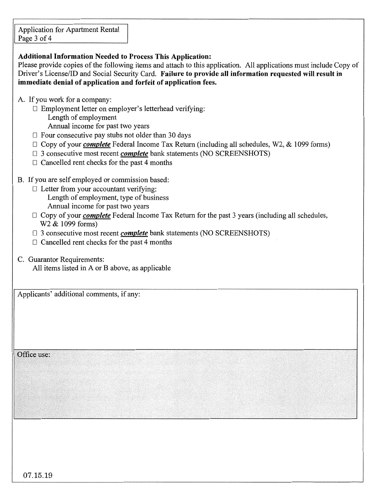## **Additional Information Needed to Process This Application:**

Please provide copies of the following items and attach to this application. All applications must include Copy of Driver's License/ID and Social Security Card. Failure to provide all information requested will result in immediate denial of application and forfeit of application fees.

- A. If you work for a company:
	- □ Employment letter on employer's letterhead verifying: Length of employment Annual income for past two years
	- $\Box$  Four consecutive pay stubs not older than 30 days
	- $\Box$  Copy of your *complete* Federal Income Tax Return (including all schedules, W2, & 1099 forms)
	- $\Box$  3 consecutive most recent *complete* bank statements (NO SCREENSHOTS)
	- $\Box$  Cancelled rent checks for the past 4 months
- B. If you are self employed or commission based:
	- $\Box$  Letter from your accountant verifying: Length of employment, type of business Annual income for past two years
	- $\Box$  Copy of your *complete* Federal Income Tax Return for the past 3 years (including all schedules, W2 & 1099 forms)
	- $\Box$  3 consecutive most recent *complete* bank statements (NO SCREENSHOTS)
	- $\Box$  Cancelled rent checks for the past 4 months
- C. Guarantor Requirements: All items listed in A or B above, as applicable

Applicants' additional comments, if any:

Office use: